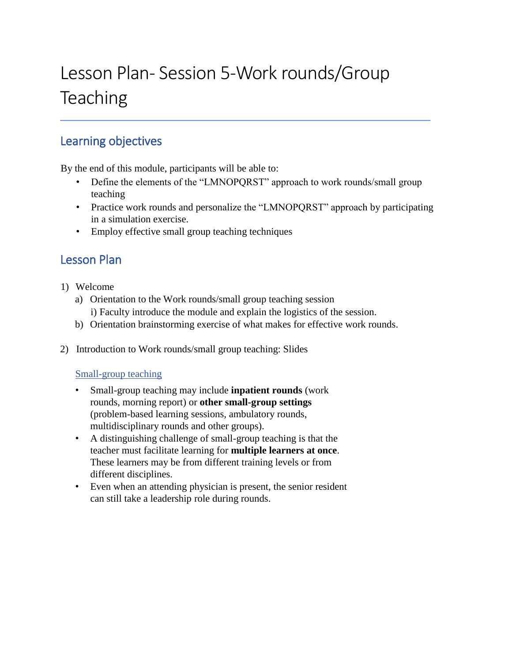# Lesson Plan- Session 5-Work rounds/Group **Teaching**

# Learning objectives

By the end of this module, participants will be able to:

- Define the elements of the "LMNOPQRST" approach to work rounds/small group teaching
- Practice work rounds and personalize the "LMNOPQRST" approach by participating in a simulation exercise.
- Employ effective small group teaching techniques

# Lesson Plan

- 1) Welcome
	- a) Orientation to the Work rounds/small group teaching session i) Faculty introduce the module and explain the logistics of the session.
	- b) Orientation brainstorming exercise of what makes for effective work rounds.
- 2) Introduction to Work rounds/small group teaching: Slides

#### Small-group teaching

- Small-group teaching may include **inpatient rounds** (work rounds, morning report) or **other small-group settings**  (problem-based learning sessions, ambulatory rounds, multidisciplinary rounds and other groups).
- A distinguishing challenge of small-group teaching is that the teacher must facilitate learning for **multiple learners at once**. These learners may be from different training levels or from different disciplines.
- Even when an attending physician is present, the senior resident can still take a leadership role during rounds.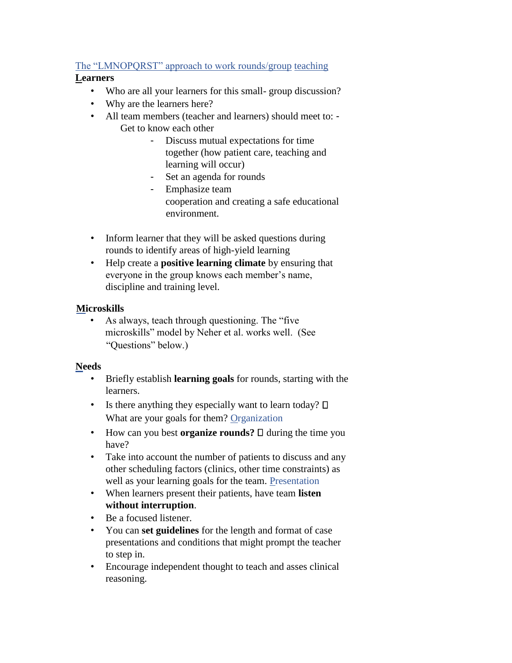# The "LMNOPQRST" approach to work rounds/group teaching

#### **Learners**

- Who are all your learners for this small- group discussion?
- Why are the learners here?
- All team members (teacher and learners) should meet to: Get to know each other
	- Discuss mutual expectations for time together (how patient care, teaching and learning will occur)
	- Set an agenda for rounds
	- Emphasize team cooperation and creating a safe educational environment.
- Inform learner that they will be asked questions during rounds to identify areas of high-yield learning
- Help create a **positive learning climate** by ensuring that everyone in the group knows each member's name, discipline and training level.

## **Microskills**

• As always, teach through questioning. The "five microskills" model by Neher et al. works well. (See "Questions" below.)

## **Needs**

- Briefly establish **learning goals** for rounds, starting with the learners.
- Is there anything they especially want to learn today?  $\square$ What are your goals for them? Organization
- How can you best **organize rounds?**  $\Box$  during the time you have?
- Take into account the number of patients to discuss and any other scheduling factors (clinics, other time constraints) as well as your learning goals for the team. Presentation
- When learners present their patients, have team **listen without interruption**.
- Be a focused listener.
- You can **set guidelines** for the length and format of case presentations and conditions that might prompt the teacher to step in.
- Encourage independent thought to teach and asses clinical reasoning.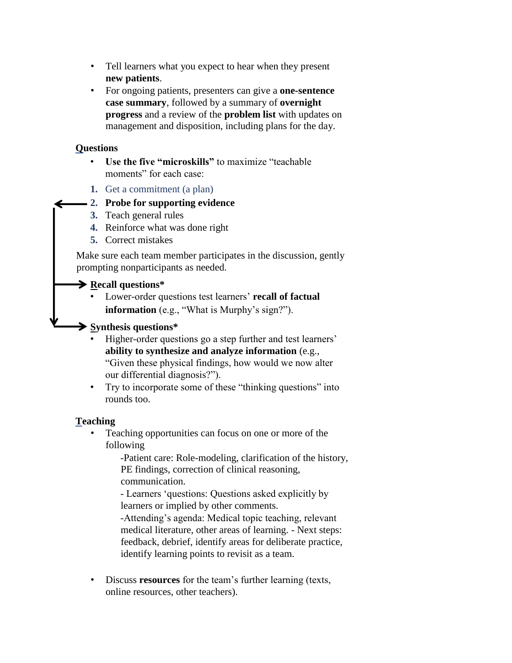- Tell learners what you expect to hear when they present **new patients**.
- For ongoing patients, presenters can give a **one-sentence case summary**, followed by a summary of **overnight progress** and a review of the **problem list** with updates on management and disposition, including plans for the day.

#### **Questions**

- **Use the five "microskills"** to maximize "teachable moments" for each case:
- **1.** Get a commitment (a plan)

## **2. Probe for supporting evidence**

- **3.** Teach general rules
- **4.** Reinforce what was done right
- **5.** Correct mistakes

Make sure each team member participates in the discussion, gently prompting nonparticipants as needed.

#### **Recall questions\***

• Lower-order questions test learners' **recall of factual information** (e.g., "What is Murphy's sign?").

#### **Synthesis questions\***

- Higher-order questions go a step further and test learners' **ability to synthesize and analyze information** (e.g., "Given these physical findings, how would we now alter our differential diagnosis?").
- Try to incorporate some of these "thinking questions" into rounds too.

## **Teaching**

• Teaching opportunities can focus on one or more of the following

> -Patient care: Role-modeling, clarification of the history, PE findings, correction of clinical reasoning, communication.

- Learners 'questions: Questions asked explicitly by learners or implied by other comments.

-Attending's agenda: Medical topic teaching, relevant medical literature, other areas of learning. - Next steps: feedback, debrief, identify areas for deliberate practice, identify learning points to revisit as a team.

• Discuss **resources** for the team's further learning (texts, online resources, other teachers).